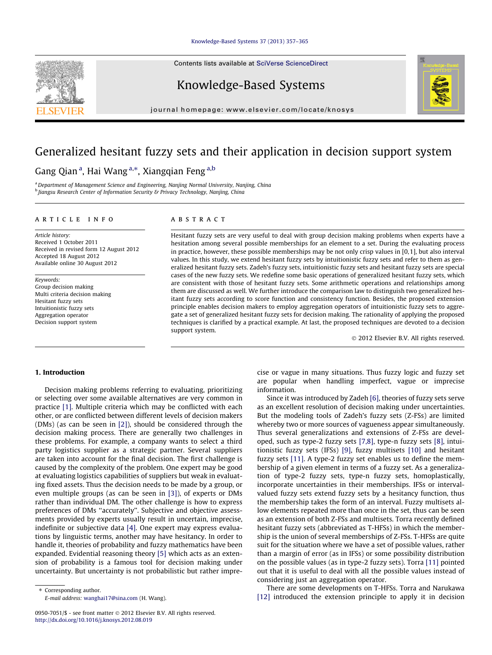#### [Knowledge-Based Systems 37 \(2013\) 357–365](http://dx.doi.org/10.1016/j.knosys.2012.08.019)

Contents lists available at [SciVerse ScienceDirect](http://www.sciencedirect.com/science/journal/09507051)

## Knowledge-Based Systems

journal homepage: [www.elsevier.com/locate/knosys](http://www.elsevier.com/locate/knosys)

# Generalized hesitant fuzzy sets and their application in decision support system

### Gang Qian<sup>a</sup>, Hai Wang<sup>a,\*</sup>, Xiangqian Feng<sup>a,b</sup>

<sup>a</sup> Department of Management Science and Engineering, Nanjing Normal University, Nanjing, China b Jiangsu Research Center of Information Security & Privacy Technology, Nanjing, China

#### article info

Article history: Received 1 October 2011 Received in revised form 12 August 2012 Accepted 18 August 2012 Available online 30 August 2012

Keywords: Group decision making Multi criteria decision making Hesitant fuzzy sets Intuitionistic fuzzy sets Aggregation operator Decision support system

#### **ABSTRACT**

Hesitant fuzzy sets are very useful to deal with group decision making problems when experts have a hesitation among several possible memberships for an element to a set. During the evaluating process in practice, however, these possible memberships may be not only crisp values in [0,1], but also interval values. In this study, we extend hesitant fuzzy sets by intuitionistic fuzzy sets and refer to them as generalized hesitant fuzzy sets. Zadeh's fuzzy sets, intuitionistic fuzzy sets and hesitant fuzzy sets are special cases of the new fuzzy sets. We redefine some basic operations of generalized hesitant fuzzy sets, which are consistent with those of hesitant fuzzy sets. Some arithmetic operations and relationships among them are discussed as well. We further introduce the comparison law to distinguish two generalized hesitant fuzzy sets according to score function and consistency function. Besides, the proposed extension principle enables decision makers to employ aggregation operators of intuitionistic fuzzy sets to aggregate a set of generalized hesitant fuzzy sets for decision making. The rationality of applying the proposed techniques is clarified by a practical example. At last, the proposed techniques are devoted to a decision support system.

- 2012 Elsevier B.V. All rights reserved.

#### 1. Introduction

Decision making problems referring to evaluating, prioritizing or selecting over some available alternatives are very common in practice [\[1\]](#page--1-0). Multiple criteria which may be conflicted with each other, or are conflicted between different levels of decision makers (DMs) (as can be seen in [\[2\]](#page--1-0)), should be considered through the decision making process. There are generally two challenges in these problems. For example, a company wants to select a third party logistics supplier as a strategic partner. Several suppliers are taken into account for the final decision. The first challenge is caused by the complexity of the problem. One expert may be good at evaluating logistics capabilities of suppliers but weak in evaluating fixed assets. Thus the decision needs to be made by a group, or even multiple groups (as can be seen in [\[3\]](#page--1-0)), of experts or DMs rather than individual DM. The other challenge is how to express preferences of DMs ''accurately''. Subjective and objective assessments provided by experts usually result in uncertain, imprecise, indefinite or subjective data [\[4\]](#page--1-0). One expert may express evaluations by linguistic terms, another may have hesitancy. In order to handle it, theories of probability and fuzzy mathematics have been expanded. Evidential reasoning theory [\[5\]](#page--1-0) which acts as an extension of probability is a famous tool for decision making under uncertainty. But uncertainty is not probabilistic but rather imprecise or vague in many situations. Thus fuzzy logic and fuzzy set are popular when handling imperfect, vague or imprecise information.

Since it was introduced by Zadeh [\[6\],](#page--1-0) theories of fuzzy sets serve as an excellent resolution of decision making under uncertainties. But the modeling tools of Zadeh's fuzzy sets (Z-FSs) are limited whereby two or more sources of vagueness appear simultaneously. Thus several generalizations and extensions of Z-FSs are developed, such as type-2 fuzzy sets [\[7,8\]](#page--1-0), type-n fuzzy sets [\[8\],](#page--1-0) intuitionistic fuzzy sets (IFSs) [\[9\],](#page--1-0) fuzzy multisets [\[10\]](#page--1-0) and hesitant fuzzy sets [\[11\].](#page--1-0) A type-2 fuzzy set enables us to define the membership of a given element in terms of a fuzzy set. As a generalization of type-2 fuzzy sets, type-n fuzzy sets, homoplastically, incorporate uncertainties in their memberships. IFSs or intervalvalued fuzzy sets extend fuzzy sets by a hesitancy function, thus the membership takes the form of an interval. Fuzzy multisets allow elements repeated more than once in the set, thus can be seen as an extension of both Z-FSs and multisets. Torra recently defined hesitant fuzzy sets (abbreviated as T-HFSs) in which the membership is the union of several memberships of Z-FSs. T-HFSs are quite suit for the situation where we have a set of possible values, rather than a margin of error (as in IFSs) or some possibility distribution on the possible values (as in type-2 fuzzy sets). Torra [\[11\]](#page--1-0) pointed out that it is useful to deal with all the possible values instead of considering just an aggregation operator.

There are some developments on T-HFSs. Torra and Narukawa [\[12\]](#page--1-0) introduced the extension principle to apply it in decision





<sup>⇑</sup> Corresponding author. E-mail address: [wanghai17@sina.com](mailto:wanghai17@sina.com) (H. Wang).

<sup>0950-7051/\$ -</sup> see front matter © 2012 Elsevier B.V. All rights reserved. <http://dx.doi.org/10.1016/j.knosys.2012.08.019>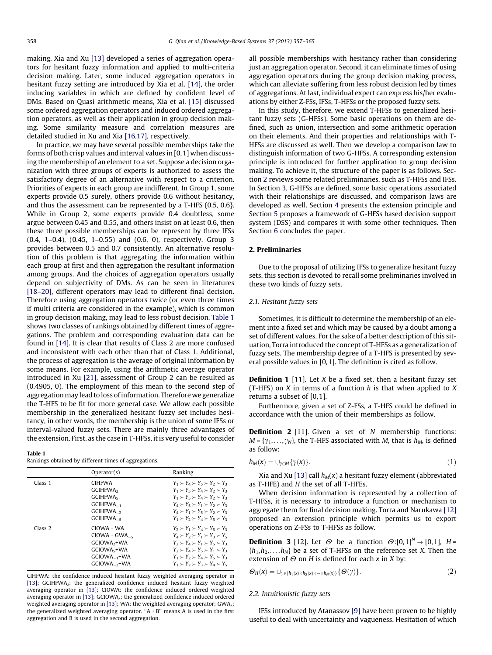making. Xia and Xu [\[13\]](#page--1-0) developed a series of aggregation operators for hesitant fuzzy information and applied to multi-criteria decision making. Later, some induced aggregation operators in hesitant fuzzy setting are introduced by Xia et al. [\[14\]](#page--1-0), the order inducing variables in which are defined by confident level of DMs. Based on Quasi arithmetic means, Xia et al. [\[15\]](#page--1-0) discussed some ordered aggregation operators and induced ordered aggregation operators, as well as their application in group decision making. Some similarity measure and correlation measures are detailed studied in Xu and Xia [\[16,17\]](#page--1-0), respectively.

In practice, we may have several possible memberships take the forms of both crisp values and interval values in [0,1] when discussing the membership of an element to a set. Suppose a decision organization with three groups of experts is authorized to assess the satisfactory degree of an alternative with respect to a criterion. Priorities of experts in each group are indifferent. In Group 1, some experts provide 0.5 surely, others provide 0.6 without hesitancy, and thus the assessment can be represented by a T-HFS {0.5, 0.6}. While in Group 2, some experts provide 0.4 doubtless, some argue between 0.45 and 0.55, and others insist on at least 0.6, then these three possible memberships can be represent by three IFSs (0.4, 1–0.4), (0.45, 1–0.55) and (0.6, 0), respectively. Group 3 provides between 0.5 and 0.7 consistently. An alternative resolution of this problem is that aggregating the information within each group at first and then aggregation the resultant information among groups. And the choices of aggregation operators usually depend on subjectivity of DMs. As can be seen in literatures [\[18–20\]](#page--1-0), different operators may lead to different final decision. Therefore using aggregation operators twice (or even three times if multi criteria are considered in the example), which is common in group decision making, may lead to less robust decision. Table 1 shows two classes of rankings obtained by different times of aggregations. The problem and corresponding evaluation data can be found in [\[14\]](#page--1-0). It is clear that results of Class 2 are more confused and inconsistent with each other than that of Class 1. Additional, the process of aggregation is the average of original information by some means. For example, using the arithmetic average operator introduced in Xu [\[21\],](#page--1-0) assessment of Group 2 can be resulted as (0.4905, 0). The employment of this mean to the second step of aggregation may lead to loss of information. Therefore we generalize the T-HFS to be fit for more general case. We allow each possible membership in the generalized hesitant fuzzy set includes hesitancy, in other words, the membership is the union of some IFSs or interval-valued fuzzy sets. There are mainly three advantages of the extension. First, as the case in T-HFSs, it is very useful to consider

#### Table 1

Rankings obtained by different times of aggregations.

|                    | Operator(s)                                                                                                                 | Ranking                                                                                                                                                                                                                                                                                            |
|--------------------|-----------------------------------------------------------------------------------------------------------------------------|----------------------------------------------------------------------------------------------------------------------------------------------------------------------------------------------------------------------------------------------------------------------------------------------------|
| Class <sub>1</sub> | <b>CIHFWA</b><br><b>GCIHFWA</b> <sub>2</sub><br>GCIHFWA <sub>5</sub><br>GCIHFWA <sub>1</sub><br>GCIHFWA<br>GCIHFWA_5        | $Y_1 \succ Y_4 \succ Y_5 \succ Y_2 \succ Y_3$<br>$Y_1 \succ Y_5 \succ Y_4 \succ Y_2 \succ Y_3$<br>$Y_1 \succ Y_5 \succ Y_4 \succ Y_2 \succ Y_3$<br>$Y_4 \succ Y_5 \succ Y_1 \succ Y_2 \succ Y_3$<br>$Y_4 \succ Y_1 \succ Y_5 \succ Y_2 \succ Y_3$<br>$Y_1 \succ Y_2 \succ Y_4 \succ Y_5 \succ Y_3$ |
| Class <sub>2</sub> | CIOWA + WA<br>$CIOWA + GWA -$<br>GCIOWA <sub>2</sub> +WA<br>GCIOWA <sub>5</sub> +WA<br>$GCIOWA_{-1}+WA$<br>$GCIOWA_{-2}+WA$ | $Y_2 \succ Y_1 \succ Y_4 \succ Y_5 \succ Y_3$<br>$Y_4 \succ Y_2 \succ Y_1 \succ Y_3 \succ Y_5$<br>$Y_2 \succ Y_4 \succ Y_1 \succ Y_5 \succ Y_3$<br>$Y_2 \succ Y_4 \succ Y_5 \succ Y_1 \succ Y_3$<br>$Y_1 \succ Y_2 \succ Y_4 \succ Y_5 \succ Y_3$<br>$Y_1 \succ Y_2 \succ Y_3 \succ Y_4 \succ Y_5$ |

CIHFWA: the confidence induced hesitant fuzzy weighted averaging operator in [\[13\]](#page--1-0); GCIHFWA<sub>2</sub>: the generalized confidence induced hesitant fuzzy weighted averaging operator in [\[13\]](#page--1-0); CIOWA: the confidence induced ordered weighted averaging operator in  $[13]$ ; GCIOWA<sub>2</sub>: the generalized confidence induced ordered weighted averaging operator in [\[13\];](#page--1-0) WA: the weighted averaging operator;  $GWA_{\lambda}$ : the generalized weighted averaging operator. " $A + B$ " means A is used in the first aggregation and B is used in the second aggregation.

all possible memberships with hesitancy rather than considering just an aggregation operator. Second, it can eliminate times of using aggregation operators during the group decision making process, which can alleviate suffering from less robust decision led by times of aggregations. At last, individual expert can express his/her evaluations by either Z-FSs, IFSs, T-HFSs or the proposed fuzzy sets.

In this study, therefore, we extend T-HFSs to generalized hesitant fuzzy sets (G-HFSs). Some basic operations on them are defined, such as union, intersection and some arithmetic operation on their elements. And their properties and relationships with T-HFSs are discussed as well. Then we develop a comparison law to distinguish information of two G-HFSs. A corresponding extension principle is introduced for further application to group decision making. To achieve it, the structure of the paper is as follows. Section 2 reviews some related preliminaries, such as T-HFSs and IFSs. In Section [3](#page--1-0), G-HFSs are defined, some basic operations associated with their relationships are discussed, and comparison laws are developed as well. Section [4](#page--1-0) presents the extension principle and Section [5](#page--1-0) proposes a framework of G-HFSs based decision support system (DSS) and compares it with some other techniques. Then Section [6](#page--1-0) concludes the paper.

#### 2. Preliminaries

Due to the proposal of utilizing IFSs to generalize hesitant fuzzy sets, this section is devoted to recall some preliminaries involved in these two kinds of fuzzy sets.

#### 2.1. Hesitant fuzzy sets

Sometimes, it is difficult to determine the membership of an element into a fixed set and which may be caused by a doubt among a set of different values. For the sake of a better description of this situation, Torra introduced the concept of T-HFSs as a generalization of fuzzy sets. The membership degree of a T-HFS is presented by several possible values in [0,1]. The definition is cited as follow.

**Definition 1** [11]. Let  $X$  be a fixed set, then a hesitant fuzzy set (T-HFS) on  $X$  in terms of a function  $h$  is that when applied to  $X$ returns a subset of [0,1].

Furthermore, given a set of Z-FSs, a T-HFS could be defined in accordance with the union of their memberships as follow.

**Definition 2** [11]. Given a set of N membership functions:  $M = \{y_1, \ldots, y_N\}$ , the T-HFS associated with M, that is  $h_M$ , is defined as follow:

$$
h_M(x) = \cup_{\gamma \in M} \{ \gamma(x) \}.
$$
 (1)

Xia and Xu [\[13\]](#page--1-0) call  $h_M(x)$  a hesitant fuzzy element (abbreviated as T-HFE) and  $H$  the set of all T-HFEs.

When decision information is represented by a collection of T-HFSs, it is necessary to introduce a function or mechanism to aggregate them for final decision making. Torra and Narukawa [\[12\]](#page--1-0) proposed an extension principle which permits us to export operations on Z-FSs to T-HFSs as follow.

**Definition 3** [12]. Let  $\Theta$  be a function  $\Theta$ :[0,1]<sup>N</sup>  $\rightarrow$  [0,1], H =  $\{h_1, h_2, \ldots, h_N\}$  be a set of T-HFSs on the reference set X. Then the extension of  $\Theta$  on H is defined for each x in X by:

$$
\Theta_H(x) = \cup_{\gamma \in \{h_1(x) \times h_2(x) \times \cdots \times h_N(x)\}} \{ \Theta(\gamma) \}.
$$
 (2)

#### 2.2. Intuitionistic fuzzy sets

IFSs introduced by Atanassov [\[9\]](#page--1-0) have been proven to be highly useful to deal with uncertainty and vagueness. Hesitation of which